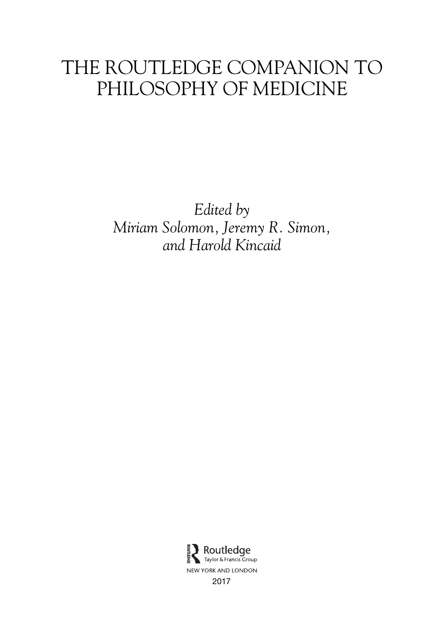# THE ROUTLEDGE COMPANION TO PHILOSOPHY OF MEDICINE

 *Edited by Miriam Solomon, Jeremy R. Simon, and Harold Kincaid* 

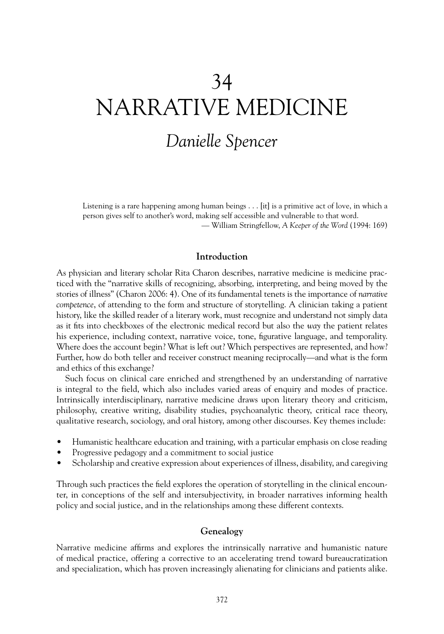# *Danielle Spencer*

 Listening is a rare happening among human beings . . . [it] is a primitive act of love, in which a person gives self to another's word, making self accessible and vulnerable to that word. — William Stringfellow, *A Keeper of the Word* (1994: 169)

# **Introduction**

 As physician and literary scholar Rita Charon describes, narrative medicine is medicine practiced with the "narrative skills of recognizing, absorbing, interpreting, and being moved by the stories of illness" (Charon 2006: 4). One of its fundamental tenets is the importance of *narrative competence* , of attending to the form and structure of storytelling. A clinician taking a patient history, like the skilled reader of a literary work, must recognize and understand not simply data as it fits into checkboxes of the electronic medical record but also the *way* the patient relates his experience, including context, narrative voice, tone, figurative language, and temporality. Where does the account begin? What is left out? Which perspectives are represented, and how? Further, how do both teller and receiver construct meaning reciprocally—and what is the form and ethics of this exchange?

 Such focus on clinical care enriched and strengthened by an understanding of narrative is integral to the field, which also includes varied areas of enquiry and modes of practice. Intrinsically interdisciplinary, narrative medicine draws upon literary theory and criticism, philosophy, creative writing, disability studies, psychoanalytic theory, critical race theory, qualitative research, sociology, and oral history, among other discourses. Key themes include:

- Humanistic healthcare education and training, with a particular emphasis on close reading
- Progressive pedagogy and a commitment to social justice
- Scholarship and creative expression about experiences of illness, disability, and caregiving

Through such practices the field explores the operation of storytelling in the clinical encounter, in conceptions of the self and intersubjectivity, in broader narratives informing health policy and social justice, and in the relationships among these different contexts.

# **Genealogy**

Narrative medicine affirms and explores the intrinsically narrative and humanistic nature of medical practice, offering a corrective to an accelerating trend toward bureaucratization and specialization, which has proven increasingly alienating for clinicians and patients alike.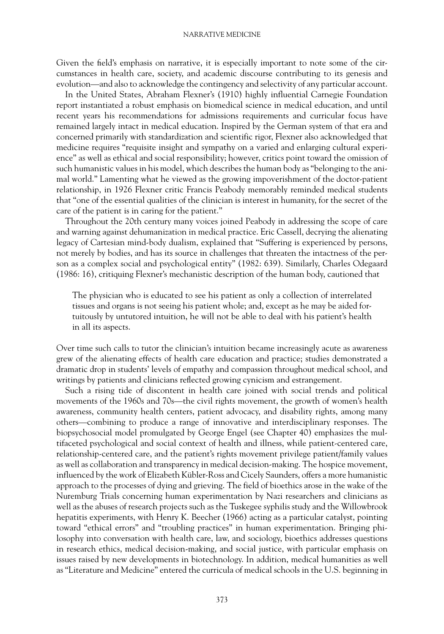Given the field's emphasis on narrative, it is especially important to note some of the circumstances in health care, society, and academic discourse contributing to its genesis and evolution—and also to acknowledge the contingency and selectivity of any particular account.

 In the United States, Abraham Flexner's (1910) highly influential Carnegie Foundation report instantiated a robust emphasis on biomedical science in medical education, and until recent years his recommendations for admissions requirements and curricular focus have remained largely intact in medical education. Inspired by the German system of that era and concerned primarily with standardization and scientific rigor, Flexner also acknowledged that medicine requires "requisite insight and sympathy on a varied and enlarging cultural experience" as well as ethical and social responsibility; however, critics point toward the omission of such humanistic values in his model, which describes the human body as "belonging to the animal world." Lamenting what he viewed as the growing impoverishment of the doctor- patient relationship, in 1926 Flexner critic Francis Peabody memorably reminded medical students that "one of the essential qualities of the clinician is interest in humanity, for the secret of the care of the patient is in caring for the patient."

 Throughout the 20th century many voices joined Peabody in addressing the scope of care and warning against dehumanization in medical practice. Eric Cassell, decrying the alienating legacy of Cartesian mind- body dualism, explained that "Suffering is experienced by persons, not merely by bodies, and has its source in challenges that threaten the intactness of the person as a complex social and psychological entity" (1982: 639). Similarly, Charles Odegaard (1986: 16), critiquing Flexner's mechanistic description of the human body, cautioned that

 The physician who is educated to see his patient as only a collection of interrelated tissues and organs is not seeing his patient whole; and, except as he may be aided fortuitously by untutored intuition, he will not be able to deal with his patient's health in all its aspects.

 Over time such calls to tutor the clinician's intuition became increasingly acute as awareness grew of the alienating effects of health care education and practice; studies demonstrated a dramatic drop in students' levels of empathy and compassion throughout medical school, and writings by patients and clinicians reflected growing cynicism and estrangement.

 Such a rising tide of discontent in health care joined with social trends and political movements of the 1960s and 70s—the civil rights movement, the growth of women's health awareness, community health centers, patient advocacy, and disability rights, among many others—combining to produce a range of innovative and interdisciplinary responses. The biopsychosocial model promulgated by George Engel (see Chapter 40) emphasizes the multifaceted psychological and social context of health and illness, while patient- centered care, relationship- centered care, and the patient's rights movement privilege patient/family values as well as collaboration and transparency in medical decision- making. The hospice movement, influenced by the work of Elizabeth Kübler- Ross and Cicely Saunders, offers a more humanistic approach to the processes of dying and grieving. The field of bioethics arose in the wake of the Nuremburg Trials concerning human experimentation by Nazi researchers and clinicians as well as the abuses of research projects such as the Tuskegee syphilis study and the Willowbrook hepatitis experiments, with Henry K. Beecher (1966) acting as a particular catalyst, pointing toward "ethical errors" and "troubling practices" in human experimentation. Bringing philosophy into conversation with health care, law, and sociology, bioethics addresses questions in research ethics, medical decision- making, and social justice, with particular emphasis on issues raised by new developments in biotechnology. In addition, medical humanities as well as "Literature and Medicine" entered the curricula of medical schools in the U.S. beginning in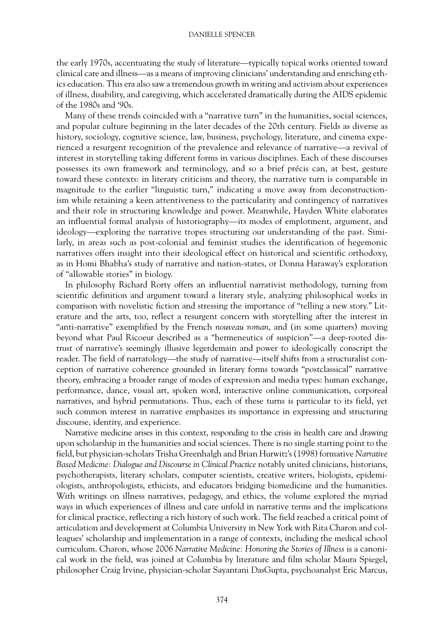the early 1970s, accentuating the study of literature—typically topical works oriented toward clinical care and illness—as a means of improving clinicians' understanding and enriching ethics education. This era also saw a tremendous growth in writing and activism about experiences of illness, disability, and caregiving, which accelerated dramatically during the AIDS epidemic of the 1980s and '90s.

 Many of these trends coincided with a "narrative turn" in the humanities, social sciences, and popular culture beginning in the later decades of the 20th century. Fields as diverse as history, sociology, cognitive science, law, business, psychology, literature, and cinema experienced a resurgent recognition of the prevalence and relevance of narrative—a revival of interest in storytelling taking different forms in various disciplines. Each of these discourses possesses its own framework and terminology, and so a brief précis can, at best, gesture toward these contexts: in literary criticism and theory, the narrative turn is comparable in magnitude to the earlier "linguistic turn," indicating a move away from deconstructionism while retaining a keen attentiveness to the particularity and contingency of narratives and their role in structuring knowledge and power. Meanwhile, Hayden White elaborates an influential formal analysis of historiography—its modes of emplotment, argument, and ideology—exploring the narrative tropes structuring our understanding of the past. Similarly, in areas such as post- colonial and feminist studies the identification of hegemonic narratives offers insight into their ideological effect on historical and scientific orthodoxy, as in Homi Bhabha's study of narrative and nation- states, or Donna Haraway's exploration of "allowable stories" in biology.

 In philosophy Richard Rorty offers an influential narrativist methodology, turning from scientific definition and argument toward a literary style, analyzing philosophical works in comparison with novelistic fiction and stressing the importance of "telling a new story." Literature and the arts, too, reflect a resurgent concern with storytelling after the interest in "anti- narrative" exemplified by the French *nouveau roman* , and (in some quarters) moving beyond what Paul Ricoeur described as a "hermeneutics of suspicion"-a deep-rooted distrust of narrative's seemingly illusive legerdemain and power to ideologically conscript the reader. The field of narratology—the study of narrative—itself shifts from a structuralist conception of narrative coherence grounded in literary forms towards "postclassical" narrative theory, embracing a broader range of modes of expression and media types: human exchange, performance, dance, visual art, spoken word, interactive online communication, corporeal narratives, and hybrid permutations. Thus, each of these turns is particular to its field, yet such common interest in narrative emphasizes its importance in expressing and structuring discourse, identity, and experience.

 Narrative medicine arises in this context, responding to the crisis in health care and drawing upon scholarship in the humanities and social sciences. There is no single starting point to the field, but physician- scholars Trisha Greenhalgh and Brian Hurwitz's (1998) formative *Narrative Based Medicine: Dialogue and Discourse in Clinical Practice* notably united clinicians, historians, psychotherapists, literary scholars, computer scientists, creative writers, biologists, epidemiologists, anthropologists, ethicists, and educators bridging biomedicine and the humanities. With writings on illness narratives, pedagogy, and ethics, the volume explored the myriad ways in which experiences of illness and care unfold in narrative terms and the implications for clinical practice, reflecting a rich history of such work. The field reached a critical point of articulation and development at Columbia University in New York with Rita Charon and colleagues' scholarship and implementation in a range of contexts, including the medical school curriculum. Charon, whose 2006 *Narrative Medicine: Honoring the Stories of Illness* is a canonical work in the field, was joined at Columbia by literature and film scholar Maura Spiegel, philosopher Craig Irvine, physician- scholar Sayantani DasGupta, psychoanalyst Eric Marcus,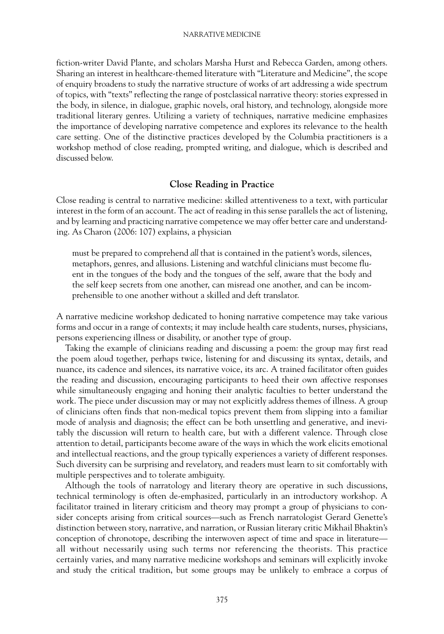fiction- writer David Plante, and scholars Marsha Hurst and Rebecca Garden, among others. Sharing an interest in healthcare- themed literature with "Literature and Medicine", the scope of enquiry broadens to study the narrative structure of works of art addressing a wide spectrum of topics, with "texts" reflecting the range of postclassical narrative theory: stories expressed in the body, in silence, in dialogue, graphic novels, oral history, and technology, alongside more traditional literary genres. Utilizing a variety of techniques, narrative medicine emphasizes the importance of developing narrative competence and explores its relevance to the health care setting *.* One of the distinctive practices developed by the Columbia practitioners is a workshop method of close reading, prompted writing, and dialogue, which is described and discussed below.

# **Close Reading in Practice**

 Close reading is central to narrative medicine: skilled attentiveness to a text, with particular interest in the form of an account. The act of reading in this sense parallels the act of listening, and by learning and practicing narrative competence we may offer better care and understanding. As Charon (2006: 107) explains, a physician

 must be prepared to comprehend *all* that is contained in the patient's words, silences, metaphors, genres, and allusions. Listening and watchful clinicians must become fluent in the tongues of the body and the tongues of the self, aware that the body and the self keep secrets from one another, can misread one another, and can be incomprehensible to one another without a skilled and deft translator.

 A narrative medicine workshop dedicated to honing narrative competence may take various forms and occur in a range of contexts; it may include health care students, nurses, physicians, persons experiencing illness or disability, or another type of group.

 Taking the example of clinicians reading and discussing a poem: the group may first read the poem aloud together, perhaps twice, listening for and discussing its syntax, details, and nuance, its cadence and silences, its narrative voice, its arc. A trained facilitator often guides the reading and discussion, encouraging participants to heed their own affective responses while simultaneously engaging and honing their analytic faculties to better understand the work. The piece under discussion may or may not explicitly address themes of illness. A group of clinicians often finds that non- medical topics prevent them from slipping into a familiar mode of analysis and diagnosis; the effect can be both unsettling and generative, and inevitably the discussion will return to health care, but with a different valence. Through close attention to detail, participants become aware of the ways in which the work elicits emotional and intellectual reactions, and the group typically experiences a variety of different responses. Such diversity can be surprising and revelatory, and readers must learn to sit comfortably with multiple perspectives and to tolerate ambiguity.

 Although the tools of narratology and literary theory are operative in such discussions, technical terminology is often de- emphasized, particularly in an introductory workshop. A facilitator trained in literary criticism and theory may prompt a group of physicians to consider concepts arising from critical sources—such as French narratologist Gerard Genette's distinction between story, narrative, and narration, or Russian literary critic Mikhail Bhaktin's conception of chronotope, describing the interwoven aspect of time and space in literature all without necessarily using such terms nor referencing the theorists. This practice certainly varies, and many narrative medicine workshops and seminars will explicitly invoke and study the critical tradition, but some groups may be unlikely to embrace a corpus of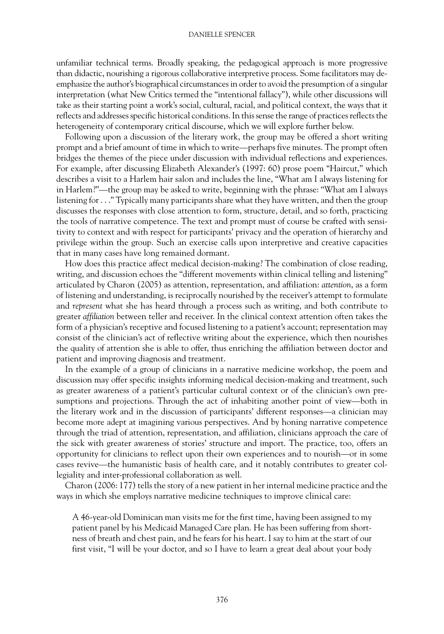unfamiliar technical terms. Broadly speaking, the pedagogical approach is more progressive than didactic, nourishing a rigorous collaborative interpretive process. Some facilitators may deemphasize the author's biographical circumstances in order to avoid the presumption of a singular interpretation (what New Critics termed the "intentional fallacy"), while other discussions will take as their starting point a work's social, cultural, racial, and political context, the ways that it reflects and addresses specific historical conditions. In this sense the range of practices reflects the heterogeneity of contemporary critical discourse, which we will explore further below.

 Following upon a discussion of the literary work, the group may be offered a short writing prompt and a brief amount of time in which to write—perhaps five minutes. The prompt often bridges the themes of the piece under discussion with individual reflections and experiences. For example, after discussing Elizabeth Alexander's (1997: 60) prose poem "Haircut," which describes a visit to a Harlem hair salon and includes the line, "What am I always listening for in Harlem?"—the group may be asked to write, beginning with the phrase: "What am I always listening for . . ." Typically many participants share what they have written, and then the group discusses the responses with close attention to form, structure, detail, and so forth, practicing the tools of narrative competence. The text and prompt must of course be crafted with sensitivity to context and with respect for participants' privacy and the operation of hierarchy and privilege within the group. Such an exercise calls upon interpretive and creative capacities that in many cases have long remained dormant.

 How does this practice affect medical decision- making? The combination of close reading, writing, and discussion echoes the "different movements within clinical telling and listening" articulated by Charon (2005) as attention, representation, and affiliation: *attention* , as a form of listening and understanding, is reciprocally nourished by the receiver's attempt to formulate and *represent* what she has heard through a process such as writing, and both contribute to greater *affiliation* between teller and receiver. In the clinical context attention often takes the form of a physician's receptive and focused listening to a patient's account; representation may consist of the clinician's act of reflective writing about the experience, which then nourishes the quality of attention she is able to offer, thus enriching the affiliation between doctor and patient and improving diagnosis and treatment.

 In the example of a group of clinicians in a narrative medicine workshop, the poem and discussion may offer specific insights informing medical decision- making and treatment, such as greater awareness of a patient's particular cultural context or of the clinician's own presumptions and projections. Through the act of inhabiting another point of view—both in the literary work and in the discussion of participants' different responses—a clinician may become more adept at imagining various perspectives. And by honing narrative competence through the triad of attention, representation, and affiliation, clinicians approach the care of the sick with greater awareness of stories' structure and import. The practice, too, offers an opportunity for clinicians to reflect upon their own experiences and to nourish—or in some cases revive—the humanistic basis of health care, and it notably contributes to greater collegiality and inter-professional collaboration as well.

 Charon (2006: 177) tells the story of a new patient in her internal medicine practice and the ways in which she employs narrative medicine techniques to improve clinical care:

 A 46- year- old Dominican man visits me for the first time, having been assigned to my patient panel by his Medicaid Managed Care plan. He has been suffering from shortness of breath and chest pain, and he fears for his heart. I say to him at the start of our first visit, "I will be your doctor, and so I have to learn a great deal about your body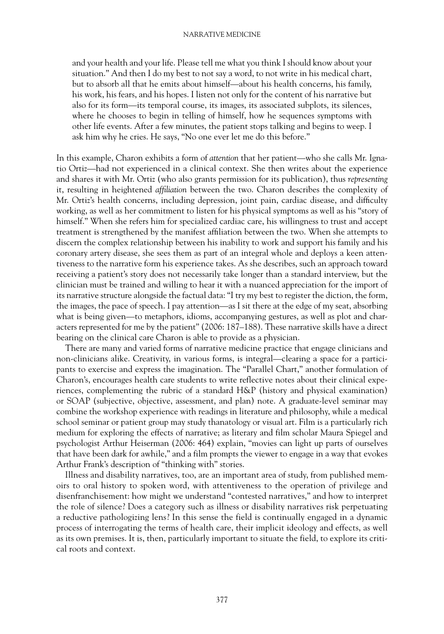and your health and your life. Please tell me what you think I should know about your situation." And then I do my best to not say a word, to not write in his medical chart, but to absorb all that he emits about himself—about his health concerns, his family, his work, his fears, and his hopes. I listen not only for the content of his narrative but also for its form—its temporal course, its images, its associated subplots, its silences, where he chooses to begin in telling of himself, how he sequences symptoms with other life events. After a few minutes, the patient stops talking and begins to weep. I ask him why he cries. He says, "No one ever let me do this before."

 In this example, Charon exhibits a form of *attention* that her patient—who she calls Mr. Ignatio Ortiz—had not experienced in a clinical context. She then writes about the experience and shares it with Mr. Ortiz (who also grants permission for its publication), thus *representing* it, resulting in heightened *affiliation* between the two. Charon describes the complexity of Mr. Ortiz's health concerns, including depression, joint pain, cardiac disease, and difficulty working, as well as her commitment to listen for his physical symptoms as well as his "story of himself." When she refers him for specialized cardiac care, his willingness to trust and accept treatment is strengthened by the manifest affiliation between the two. When she attempts to discern the complex relationship between his inability to work and support his family and his coronary artery disease, she sees them as part of an integral whole and deploys a keen attentiveness to the narrative form his experience takes. As she describes, such an approach toward receiving a patient's story does not necessarily take longer than a standard interview, but the clinician must be trained and willing to hear it with a nuanced appreciation for the import of its narrative structure alongside the factual data: "I try my best to register the diction, the form, the images, the pace of speech. I pay attention—as I sit there at the edge of my seat, absorbing what is being given—to metaphors, idioms, accompanying gestures, as well as plot and characters represented for me by the patient" (2006: 187–188). These narrative skills have a direct bearing on the clinical care Charon is able to provide as a physician.

 There are many and varied forms of narrative medicine practice that engage clinicians and non- clinicians alike. Creativity, in various forms, is integral—clearing a space for a participants to exercise and express the imagination. The "Parallel Chart," another formulation of Charon's, encourages health care students to write reflective notes about their clinical experiences, complementing the rubric of a standard H&P (history and physical examination) or SOAP (subjective, objective, assessment, and plan) note. A graduate- level seminar may combine the workshop experience with readings in literature and philosophy, while a medical school seminar or patient group may study thanatology or visual art. Film is a particularly rich medium for exploring the effects of narrative; as literary and film scholar Maura Spiegel and psychologist Arthur Heiserman (2006: 464) explain, "movies can light up parts of ourselves that have been dark for awhile," and a film prompts the viewer to engage in a way that evokes Arthur Frank's description of "thinking with" stories.

 Illness and disability narratives, too, are an important area of study, from published memoirs to oral history to spoken word, with attentiveness to the operation of privilege and disenfranchisement: how might we understand "contested narratives," and how to interpret the role of silence? Does a category such as illness or disability narratives risk perpetuating a reductive pathologizing lens? In this sense the field is continually engaged in a dynamic process of interrogating the terms of health care, their implicit ideology and effects, as well as its own premises. It is, then, particularly important to situate the field, to explore its critical roots and context.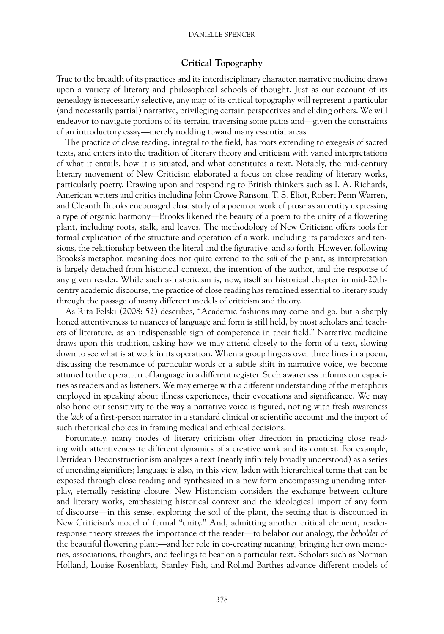# **Critical Topography**

 True to the breadth of its practices and its interdisciplinary character, narrative medicine draws upon a variety of literary and philosophical schools of thought. Just as our account of its genealogy is necessarily selective, any map of its critical topography will represent a particular (and necessarily partial) narrative, privileging certain perspectives and eliding others. We will endeavor to navigate portions of its terrain, traversing some paths and—given the constraints of an introductory essay—merely nodding toward many essential areas.

 The practice of close reading, integral to the field, has roots extending to exegesis of sacred texts, and enters into the tradition of literary theory and criticism with varied interpretations of what it entails, how it is situated, and what constitutes a text. Notably, the mid- century literary movement of New Criticism elaborated a focus on close reading of literary works, particularly poetry. Drawing upon and responding to British thinkers such as I. A. Richards, American writers and critics including John Crowe Ransom, T. S. Eliot, Robert Penn Warren, and Cleanth Brooks encouraged close study of a poem or work of prose as an entity expressing a type of organic harmony—Brooks likened the beauty of a poem to the unity of a flowering plant, including roots, stalk, and leaves. The methodology of New Criticism offers tools for formal explication of the structure and operation of a work, including its paradoxes and tensions, the relationship between the literal and the figurative, and so forth. However, following Brooks's metaphor, meaning does not quite extend to the *soil* of the plant, as interpretation is largely detached from historical context, the intention of the author, and the response of any given reader. While such a-historicism is, now, itself an historical chapter in mid-20thcentry academic discourse, the practice of close reading has remained essential to literary study through the passage of many different models of criticism and theory.

 As Rita Felski (2008: 52) describes, "Academic fashions may come and go, but a sharply honed attentiveness to nuances of language and form is still held, by most scholars and teachers of literature, as an indispensable sign of competence in their field." Narrative medicine draws upon this tradition, asking how we may attend closely to the form of a text, slowing down to see what is at work in its operation. When a group lingers over three lines in a poem, discussing the resonance of particular words or a subtle shift in narrative voice, we become attuned to the operation of language in a different register. Such awareness informs our capacities as readers and as listeners. We may emerge with a different understanding of the metaphors employed in speaking about illness experiences, their evocations and significance. We may also hone our sensitivity to the way a narrative voice is figured, noting with fresh awareness the *lack* of a first- person narrator in a standard clinical or scientific account and the import of such rhetorical choices in framing medical and ethical decisions.

 Fortunately, many modes of literary criticism offer direction in practicing close reading with attentiveness to different dynamics of a creative work and its context. For example, Derridean Deconstructionism analyzes a text (nearly infinitely broadly understood) as a series of unending signifiers; language is also, in this view, laden with hierarchical terms that can be exposed through close reading and synthesized in a new form encompassing unending interplay, eternally resisting closure. New Historicism considers the exchange between culture and literary works, emphasizing historical context and the ideological import of any form of discourse—in this sense, exploring the soil of the plant, the setting that is discounted in New Criticism's model of formal "unity." And, admitting another critical element, readerresponse theory stresses the importance of the reader—to belabor our analogy, the *beholder* of the beautiful flowering plant—and her role in co- creating meaning, bringing her own memories, associations, thoughts, and feelings to bear on a particular text. Scholars such as Norman Holland, Louise Rosenblatt, Stanley Fish, and Roland Barthes advance different models of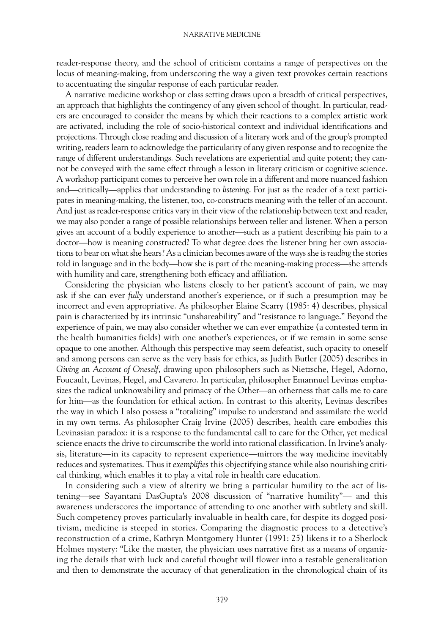reader- response theory, and the school of criticism contains a range of perspectives on the locus of meaning- making, from underscoring the way a given text provokes certain reactions to accentuating the singular response of each particular reader.

 A narrative medicine workshop or class setting draws upon a breadth of critical perspectives, an approach that highlights the contingency of any given school of thought. In particular, readers are encouraged to consider the means by which their reactions to a complex artistic work are activated, including the role of socio- historical context and individual identifications and projections. Through close reading and discussion of a literary work and of the group's prompted writing, readers learn to acknowledge the particularity of any given response and to recognize the range of different understandings. Such revelations are experiential and quite potent; they cannot be conveyed with the same effect through a lesson in literary criticism or cognitive science. A workshop participant comes to perceive her own role in a different and more nuanced fashion and—critically—applies that understanding to *listening* . For just as the reader of a text participates in meaning- making, the listener, too, co- constructs meaning with the teller of an account. And just as reader-response critics vary in their view of the relationship between text and reader, we may also ponder a range of possible relationships between teller and listener. When a person gives an account of a bodily experience to another—such as a patient describing his pain to a doctor—how is meaning constructed? To what degree does the listener bring her own associations to bear on what she hears? As a clinician becomes aware of the ways she is *reading* the stories told in language and in the body—how she is part of the meaning- making process—she attends with humility and care, strengthening both efficacy and affiliation.

 Considering the physician who listens closely to her patient's account of pain, we may ask if she can ever *fully* understand another's experience, or if such a presumption may be incorrect and even appropriative. As philosopher Elaine Scarry (1985: 4) describes, physical pain is characterized by its intrinsic "unshareability" and "resistance to language." Beyond the experience of pain, we may also consider whether we can ever empathize (a contested term in the health humanities fields) with one another's experiences, or if we remain in some sense opaque to one another. Although this perspective may seem defeatist, such opacity to oneself and among persons can serve as the very basis for ethics, as Judith Butler (2005) describes in *Giving an Account of Oneself* , drawing upon philosophers such as Nietzsche, Hegel, Adorno, Foucault, Levinas, Hegel, and Cavarero. In particular, philosopher Emannuel Levinas emphasizes the radical unknowability and primacy of the Other—an otherness that calls me to care for him—as the foundation for ethical action. In contrast to this alterity, Levinas describes the way in which I also possess a "totalizing" impulse to understand and assimilate the world in my own terms. As philosopher Craig Irvine (2005) describes, health care embodies this Levinasian paradox: it is a response to the fundamental call to care for the Other, yet medical science enacts the drive to circumscribe the world into rational classification. In Irvine's analysis, literature—in its capacity to represent experience—mirrors the way medicine inevitably reduces and systematizes. Thus it *exemplifies* this objectifying stance while also nourishing critical thinking, which enables it to play a vital role in health care education.

 In considering such a view of alterity we bring a particular humility to the act of listening—see Sayantani DasGupta's 2008 discussion of "narrative humility"— and this awareness underscores the importance of attending to one another with subtlety and skill. Such competency proves particularly invaluable in health care, for despite its dogged positivism, medicine is steeped in stories. Comparing the diagnostic process to a detective's reconstruction of a crime, Kathryn Montgomery Hunter (1991: 25) likens it to a Sherlock Holmes mystery: "Like the master, the physician uses narrative first as a means of organizing the details that with luck and careful thought will flower into a testable generalization and then to demonstrate the accuracy of that generalization in the chronological chain of its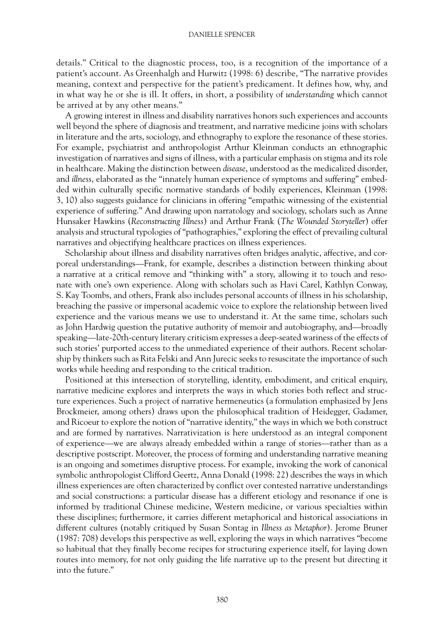details." Critical to the diagnostic process, too, is a recognition of the importance of a patient's account. As Greenhalgh and Hurwitz (1998: 6) describe, "The narrative provides meaning, context and perspective for the patient's predicament. It defines how, why, and in what way he or she is ill. It offers, in short, a possibility of *understanding* which cannot be arrived at by any other means."

 A growing interest in illness and disability narratives honors such experiences and accounts well beyond the sphere of diagnosis and treatment, and narrative medicine joins with scholars in literature and the arts, sociology, and ethnography to explore the resonance of these stories. For example, psychiatrist and anthropologist Arthur Kleinman conducts an ethnographic investigation of narratives and signs of illness, with a particular emphasis on stigma and its role in healthcare. Making the distinction between *disease* , understood as the medicalized disorder, and *illness* , elaborated as the "innately human experience of symptoms and suffering" embedded within culturally specific normative standards of bodily experiences, Kleinman (1998: 3, 10) also suggests guidance for clinicians in offering "empathic witnessing of the existential experience of suffering." And drawing upon narratology and sociology, scholars such as Anne Hunsaker Hawkins ( *Reconstructing Illness* ) and Arthur Frank ( *The Wounded Storyteller* ) offer analysis and structural typologies of "pathographies," exploring the effect of prevailing cultural narratives and objectifying healthcare practices on illness experiences.

Scholarship about illness and disability narratives often bridges analytic, affective, and corporeal understandings—Frank, for example, describes a distinction between thinking about a narrative at a critical remove and "thinking with" a story, allowing it to touch and resonate with one's own experience. Along with scholars such as Havi Carel, Kathlyn Conway, S. Kay Toombs, and others, Frank also includes personal accounts of illness in his scholarship, breaching the passive or impersonal academic voice to explore the relationship between lived experience and the various means we use to understand it. At the same time, scholars such as John Hardwig question the putative authority of memoir and autobiography, and—broadly speaking—late- 20th- century literary criticism expresses a deep- seated wariness of the effects of such stories' purported access to the unmediated experience of their authors. Recent scholarship by thinkers such as Rita Felski and Ann Jurecic seeks to resuscitate the importance of such works while heeding and responding to the critical tradition.

 Positioned at this intersection of storytelling, identity, embodiment, and critical enquiry, narrative medicine explores and interprets the ways in which stories both reflect and structure experiences. Such a project of narrative hermeneutics (a formulation emphasized by Jens Brockmeier, among others) draws upon the philosophical tradition of Heidegger, Gadamer, and Ricoeur to explore the notion of "narrative identity," the ways in which we both construct and are formed by narratives. Narrativization is here understood as an integral component of experience—we are always already embedded within a range of stories—rather than as a descriptive postscript. Moreover, the process of forming and understanding narrative meaning is an ongoing and sometimes disruptive process. For example, invoking the work of canonical symbolic anthropologist Clifford Geertz, Anna Donald (1998: 22) describes the ways in which illness experiences are often characterized by conflict over contested narrative understandings and social constructions: a particular disease has a different etiology and resonance if one is informed by traditional Chinese medicine, Western medicine, or various specialties within these disciplines; furthermore, it carries different metaphorical and historical associations in different cultures (notably critiqued by Susan Sontag in *Illness as Metaphor* ). Jerome Bruner (1987: 708) develops this perspective as well, exploring the ways in which narratives "become so habitual that they finally become recipes for structuring experience itself, for laying down routes into memory, for not only guiding the life narrative up to the present but directing it into the future."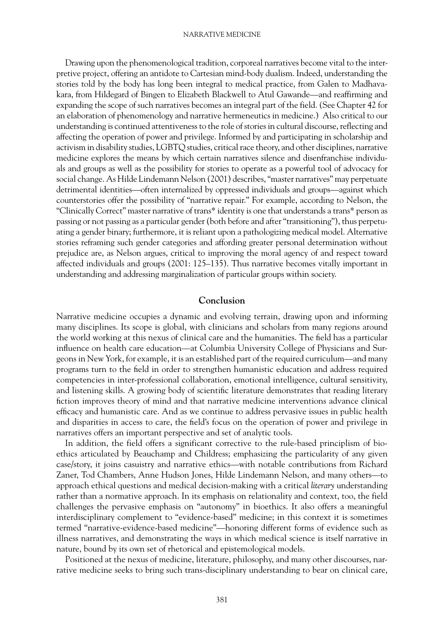Drawing upon the phenomenological tradition, corporeal narratives become vital to the interpretive project, offering an antidote to Cartesian mind-body dualism. Indeed, understanding the stories told by the body has long been integral to medical practice, from Galen to Madhavakara, from Hildegard of Bingen to Elizabeth Blackwell to Atul Gawande—and reaffirming and expanding the scope of such narratives becomes an integral part of the field. (See Chapter 42 for an elaboration of phenomenology and narrative hermeneutics in medicine.) Also critical to our understanding is continued attentiveness to the role of stories in cultural discourse, reflecting and affecting the operation of power and privilege. Informed by and participating in scholarship and activism in disability studies, LGBTQ studies, critical race theory, and other disciplines, narrative medicine explores the means by which certain narratives silence and disenfranchise individuals and groups as well as the possibility for stories to operate as a powerful tool of advocacy for social change. As Hilde Lindemann Nelson (2001) describes, "master narratives" may perpetuate detrimental identities—often internalized by oppressed individuals and groups—against which counterstories offer the possibility of "narrative repair." For example, according to Nelson, the "Clinically Correct" master narrative of trans\* identity is one that understands a trans\* person as passing or not passing as a particular gender (both before and after "transitioning"), thus perpetuating a gender binary; furthermore, it is reliant upon a pathologizing medical model. Alternative stories reframing such gender categories and affording greater personal determination without prejudice are, as Nelson argues, critical to improving the moral agency of and respect toward affected individuals and groups (2001: 125–135). Thus narrative becomes vitally important in understanding and addressing marginalization of particular groups within society.

# **Conclusion**

 Narrative medicine occupies a dynamic and evolving terrain, drawing upon and informing many disciplines. Its scope is global, with clinicians and scholars from many regions around the world working at this nexus of clinical care and the humanities. The field has a particular influence on health care education—at Columbia University College of Physicians and Surgeons in New York, for example, it is an established part of the required curriculum—and many programs turn to the field in order to strengthen humanistic education and address required competencies in inter- professional collaboration, emotional intelligence, cultural sensitivity, and listening skills. A growing body of scientific literature demonstrates that reading literary fiction improves theory of mind and that narrative medicine interventions advance clinical efficacy and humanistic care. And as we continue to address pervasive issues in public health and disparities in access to care, the field's focus on the operation of power and privilege in narratives offers an important perspective and set of analytic tools.

In addition, the field offers a significant corrective to the rule-based principlism of bioethics articulated by Beauchamp and Childress; emphasizing the particularity of any given case/story, it joins casuistry and narrative ethics—with notable contributions from Richard Zaner, Tod Chambers, Anne Hudson Jones, Hilde Lindemann Nelson, and many others—to approach ethical questions and medical decision- making with a critical *literary* understanding rather than a normative approach. In its emphasis on relationality and context, too, the field challenges the pervasive emphasis on "autonomy" in bioethics. It also offers a meaningful interdisciplinary complement to "evidence- based" medicine; in this context it is sometimes termed "narrative- evidence- based medicine"—honoring different forms of evidence such as illness narratives, and demonstrating the ways in which medical science is itself narrative in nature, bound by its own set of rhetorical and epistemological models.

 Positioned at the nexus of medicine, literature, philosophy, and many other discourses, narrative medicine seeks to bring such trans-disciplinary understanding to bear on clinical care,